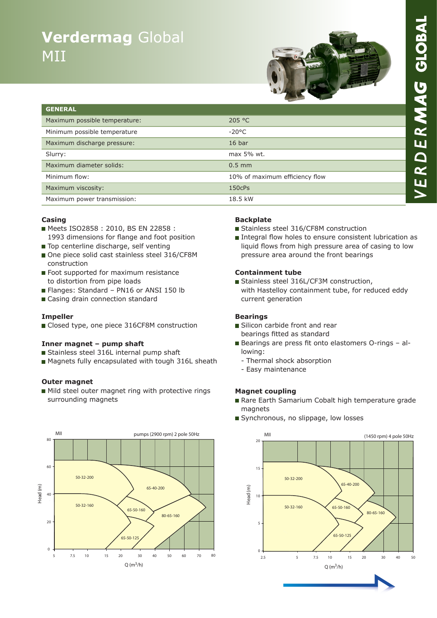# **Verdermag** Global MII



| <b>GENERAL</b>                |                                |
|-------------------------------|--------------------------------|
| Maximum possible temperature: | 205 °C                         |
| Minimum possible temperature  | $-20^{\circ}$ C                |
| Maximum discharge pressure:   | 16 <sub>bar</sub>              |
| Slurry:                       | max 5% wt.                     |
| Maximum diameter solids:      | $0.5$ mm                       |
| Minimum flow:                 | 10% of maximum efficiency flow |
| Maximum viscosity:            | 150cPs                         |
| Maximum power transmission:   | 18.5 kW                        |

#### **Casing**

- Meets ISO2858: 2010, BS EN 22858: 1993 dimensions for flange and foot position
- Top centerline discharge, self venting
- One piece solid cast stainless steel 316/CF8M construction
- Foot supported for maximum resistance to distortion from pipe loads
- Flanges: Standard PN16 or ANSI 150 lb
- Casing drain connection standard

#### **Impeller**

Closed type, one piece 316CF8M construction

#### **Inner magnet – pump shaft**

- Stainless steel 316L internal pump shaft
- Magnets fully encapsulated with tough 316L sheath

#### **Outer magnet**

Mild steel outer magnet ring with protective rings surrounding magnets



#### **Backplate**

- Stainless steel 316/CF8M construction
- Integral flow holes to ensure consistent lubrication as liquid flows from high pressure area of casing to low pressure area around the front bearings

#### **Containment tube**

Stainless steel 316L/CF3M construction, with Hastelloy containment tube, for reduced eddy current generation

#### **Bearings**

- Silicon carbide front and rear bearings fitted as standard
- Bearings are press fit onto elastomers O-rings allowing:
	- Thermal shock absorption
	- Easy maintenance

#### **Magnet coupling**

- Rare Earth Samarium Cobalt high temperature grade magnets
- Synchronous, no slippage, low losses